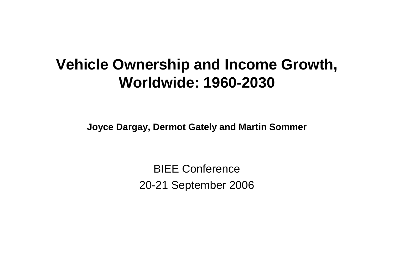### **Vehicle Ownership and Income Growth, Worldwide: 1960-2030**

**Joyce Dargay, Dermot Gately and Martin Sommer**

BIEE Conference 20-21 September 2006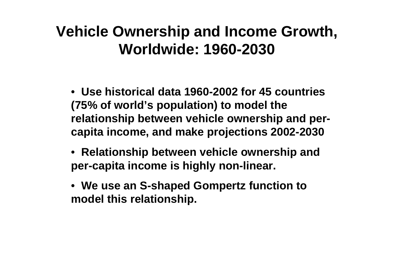## **Vehicle Ownership and Income Growth, Worldwide: 1960-2030**

• **Use historical data 1960-2002 for 45 countries (75% of world's population) to model the relationship between vehicle ownership and percapita income, and make projections 2002-2030**

- **Relationship between vehicle ownership and per-capita income is highly non-linear.**
- **We use an S-shaped Gompertz function to model this relationship.**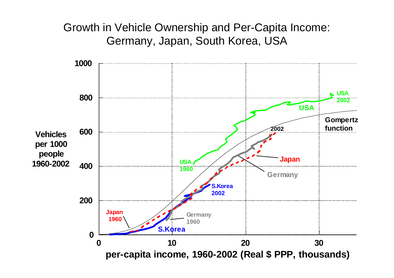Growth in Vehicle Ownership and Per-Capita Income: Germany, Japan, South Korea, USA

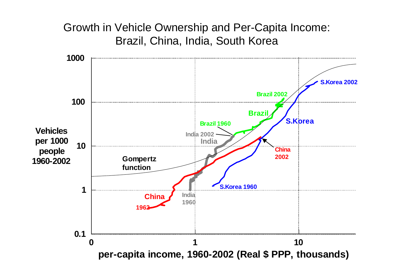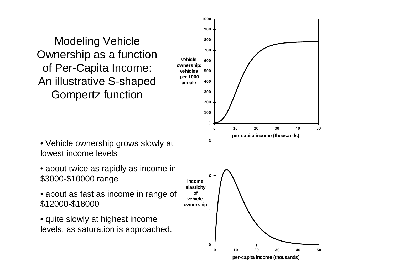Modeling Vehicle Ownership as a function of Per-Capita Income: An illustrative S-shaped Gompertz function

- Vehicle ownership grows slowly at lowest income levels
- about twice as rapidly as income in \$3000-\$10000 range
- about as fast as income in range of \$12000-\$18000
- quite slowly at highest income levels, as saturation is approached.

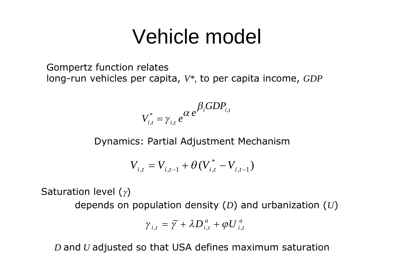# Vehicle model

Gompertz function relates long-run vehicles per capita, *V\*,* to per capita income, *GDP*

$$
V_{i,t}^* = \gamma_{i,t} e^{\alpha e^{\beta_i GDP_{i,t}}}
$$

Dynamics: Partial Adjustment Mechanism

$$
V_{i,t} = V_{i,t-1} + \theta (V_{i,t}^* - V_{i,t-1})
$$

Saturation level  $(y)$ 

depends on population density (*D*) and urbanization (*U*)

$$
\gamma_{i,t} = \overline{\gamma} + \lambda D_{i,t}^a + \varphi U_{i,t}^a
$$

*D* and *U* adjusted so that USA defines maximum saturation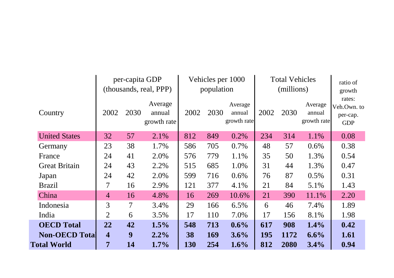|                       | per-capita GDP<br>(thousands, real, PPP) |                | Vehicles per 1000<br>population  |      |      | <b>Total Vehicles</b><br>(millions) |      |      | ratio of<br>growth               |                                                 |
|-----------------------|------------------------------------------|----------------|----------------------------------|------|------|-------------------------------------|------|------|----------------------------------|-------------------------------------------------|
| Country               | 2002                                     | 2030           | Average<br>annual<br>growth rate | 2002 | 2030 | Average<br>annual<br>growth rate    | 2002 | 2030 | Average<br>annual<br>growth rate | rates:<br>Veh.Own. to<br>per-cap.<br><b>GDP</b> |
| <b>United States</b>  | 32                                       | 57             | 2.1%                             | 812  | 849  | 0.2%                                | 234  | 314  | 1.1%                             | 0.08                                            |
| Germany               | 23                                       | 38             | 1.7%                             | 586  | 705  | 0.7%                                | 48   | 57   | $0.6\%$                          | 0.38                                            |
| France                | 24                                       | 41             | 2.0%                             | 576  | 779  | 1.1%                                | 35   | 50   | 1.3%                             | 0.54                                            |
| <b>Great Britain</b>  | 24                                       | 43             | 2.2%                             | 515  | 685  | 1.0%                                | 31   | 44   | 1.3%                             | 0.47                                            |
| Japan                 | 24                                       | 42             | 2.0%                             | 599  | 716  | $0.6\%$                             | 76   | 87   | 0.5%                             | 0.31                                            |
| <b>Brazil</b>         | $\overline{\mathcal{L}}$                 | 16             | 2.9%                             | 121  | 377  | 4.1%                                | 21   | 84   | 5.1%                             | 1.43                                            |
| China                 | $\overline{4}$                           | 16             | 4.8%                             | 16   | 269  | 10.6%                               | 21   | 390  | 11.1%                            | 2.20                                            |
| Indonesia             | 3                                        | $\overline{7}$ | 3.4%                             | 29   | 166  | 6.5%                                | 6    | 46   | 7.4%                             | 1.89                                            |
| India                 | 2                                        | 6              | 3.5%                             | 17   | 110  | 7.0%                                | 17   | 156  | 8.1%                             | 1.98                                            |
| <b>OECD</b> Total     | 22                                       | 42             | 1.5%                             | 548  | 713  | $0.6\%$                             | 617  | 908  | 1.4%                             | 0.42                                            |
| <b>Non-OECD Total</b> | $\overline{\mathbf{4}}$                  | 9              | $2.2\%$                          | 38   | 169  | 3.6%                                | 195  | 1172 | 6.6%                             | 1.61                                            |
| <b>Total World</b>    | 7                                        | 14             | $1.7\%$                          | 130  | 254  | 1.6%                                | 812  | 2080 | $3.4\%$                          | 0.94                                            |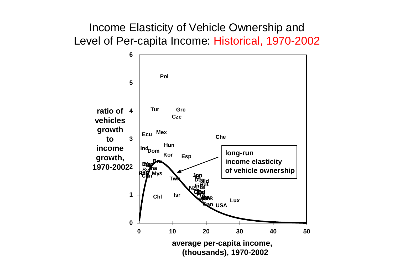#### Income Elasticity of Vehicle Ownership and Level of Per-capita Income: Historical, 1970-2002

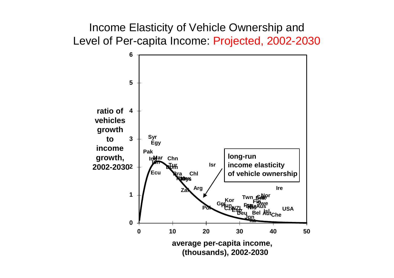Income Elasticity of Vehicle Ownership and Level of Per-capita Income: Projected, 2002-2030

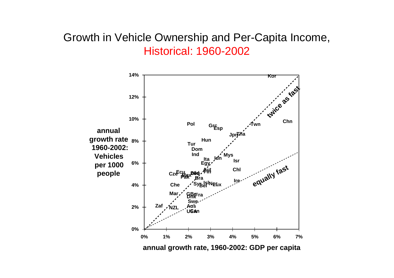#### Growth in Vehicle Ownership and Per-Capita Income, **Historical: 1960-2002**

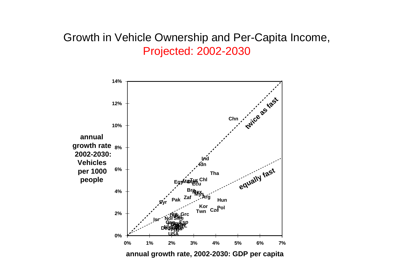#### Growth in Vehicle Ownership and Per-Capita Income, **Projected: 2002-2030**

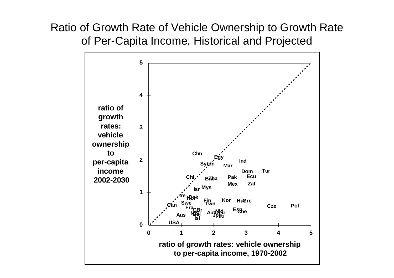Ratio of Growth Rate of Vehicle Ownership to Growth Rate of Per-Capita Income, Historical and Projected

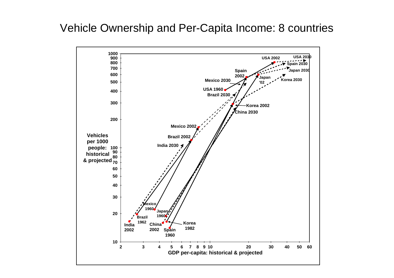#### Vehicle Ownership and Per-Capita Income: 8 countries

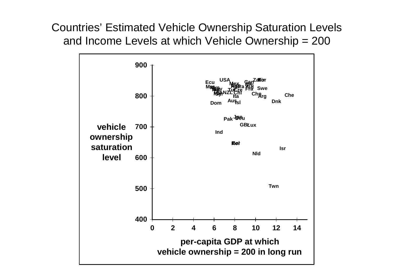**Countries' Estimated Vehicle Ownership Saturation Levels** and Income Levels at which Vehicle Ownership = 200

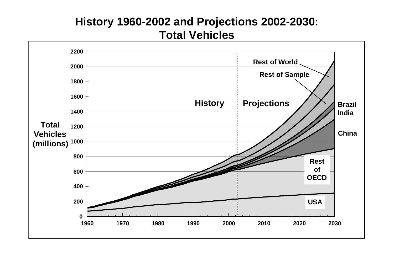#### **History 1960-2002 and Projections 2002-2030: Total Vehicles**

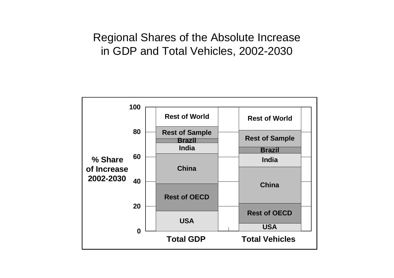#### Regional Shares of the Absolute Increase in GDP and Total Vehicles, 2002-2030

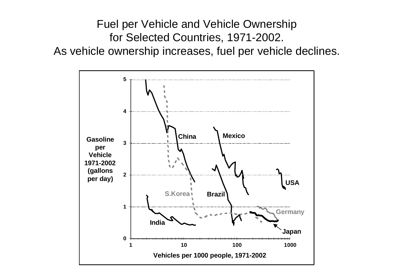Fuel per Vehicle and Vehicle Ownership for Selected Countries, 1971-2002. As vehicle ownership increases, fuel per vehicle declines.